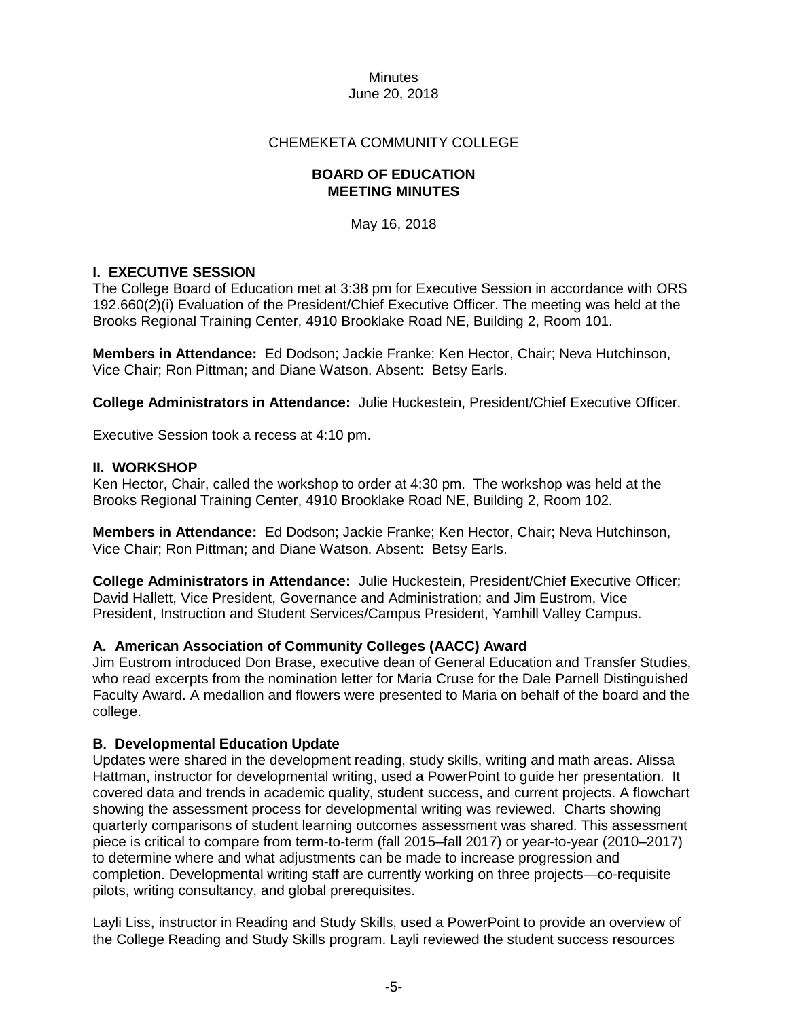### CHEMEKETA COMMUNITY COLLEGE

#### **BOARD OF EDUCATION MEETING MINUTES**

May 16, 2018

### **I. EXECUTIVE SESSION**

The College Board of Education met at 3:38 pm for Executive Session in accordance with ORS 192.660(2)(i) Evaluation of the President/Chief Executive Officer. The meeting was held at the Brooks Regional Training Center, 4910 Brooklake Road NE, Building 2, Room 101.

**Members in Attendance:** Ed Dodson; Jackie Franke; Ken Hector, Chair; Neva Hutchinson, Vice Chair; Ron Pittman; and Diane Watson. Absent: Betsy Earls.

**College Administrators in Attendance:** Julie Huckestein, President/Chief Executive Officer.

Executive Session took a recess at 4:10 pm.

#### **II. WORKSHOP**

Ken Hector, Chair, called the workshop to order at 4:30 pm. The workshop was held at the Brooks Regional Training Center, 4910 Brooklake Road NE, Building 2, Room 102.

**Members in Attendance:** Ed Dodson; Jackie Franke; Ken Hector, Chair; Neva Hutchinson, Vice Chair; Ron Pittman; and Diane Watson. Absent: Betsy Earls.

**College Administrators in Attendance:** Julie Huckestein, President/Chief Executive Officer; David Hallett, Vice President, Governance and Administration; and Jim Eustrom, Vice President, Instruction and Student Services/Campus President, Yamhill Valley Campus.

#### **A. American Association of Community Colleges (AACC) Award**

Jim Eustrom introduced Don Brase, executive dean of General Education and Transfer Studies, who read excerpts from the nomination letter for Maria Cruse for the Dale Parnell Distinguished Faculty Award. A medallion and flowers were presented to Maria on behalf of the board and the college.

#### **B. Developmental Education Update**

Updates were shared in the development reading, study skills, writing and math areas. Alissa Hattman, instructor for developmental writing, used a PowerPoint to guide her presentation. It covered data and trends in academic quality, student success, and current projects. A flowchart showing the assessment process for developmental writing was reviewed. Charts showing quarterly comparisons of student learning outcomes assessment was shared. This assessment piece is critical to compare from term-to-term (fall 2015–fall 2017) or year-to-year (2010–2017) to determine where and what adjustments can be made to increase progression and completion. Developmental writing staff are currently working on three projects—co-requisite pilots, writing consultancy, and global prerequisites.

Layli Liss, instructor in Reading and Study Skills, used a PowerPoint to provide an overview of the College Reading and Study Skills program. Layli reviewed the student success resources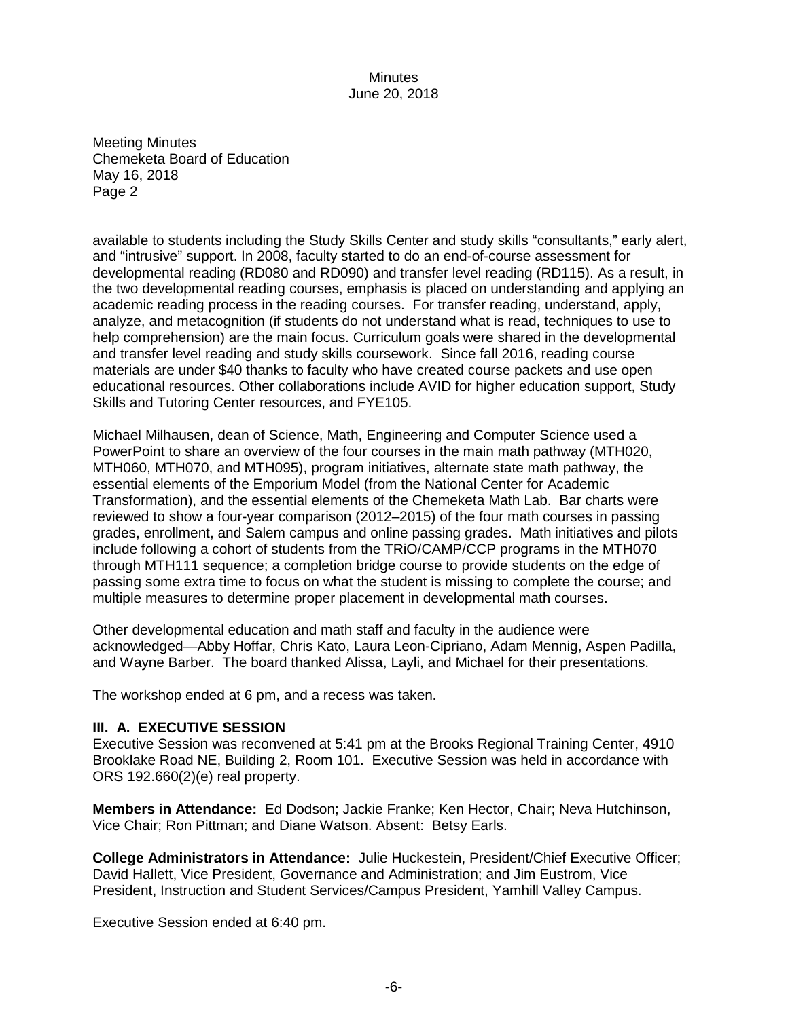Meeting Minutes Chemeketa Board of Education May 16, 2018 Page 2

available to students including the Study Skills Center and study skills "consultants," early alert, and "intrusive" support. In 2008, faculty started to do an end-of-course assessment for developmental reading (RD080 and RD090) and transfer level reading (RD115). As a result, in the two developmental reading courses, emphasis is placed on understanding and applying an academic reading process in the reading courses. For transfer reading, understand, apply, analyze, and metacognition (if students do not understand what is read, techniques to use to help comprehension) are the main focus. Curriculum goals were shared in the developmental and transfer level reading and study skills coursework. Since fall 2016, reading course materials are under \$40 thanks to faculty who have created course packets and use open educational resources. Other collaborations include AVID for higher education support, Study Skills and Tutoring Center resources, and FYE105.

Michael Milhausen, dean of Science, Math, Engineering and Computer Science used a PowerPoint to share an overview of the four courses in the main math pathway (MTH020, MTH060, MTH070, and MTH095), program initiatives, alternate state math pathway, the essential elements of the Emporium Model (from the National Center for Academic Transformation), and the essential elements of the Chemeketa Math Lab. Bar charts were reviewed to show a four-year comparison (2012–2015) of the four math courses in passing grades, enrollment, and Salem campus and online passing grades. Math initiatives and pilots include following a cohort of students from the TRiO/CAMP/CCP programs in the MTH070 through MTH111 sequence; a completion bridge course to provide students on the edge of passing some extra time to focus on what the student is missing to complete the course; and multiple measures to determine proper placement in developmental math courses.

Other developmental education and math staff and faculty in the audience were acknowledged—Abby Hoffar, Chris Kato, Laura Leon-Cipriano, Adam Mennig, Aspen Padilla, and Wayne Barber. The board thanked Alissa, Layli, and Michael for their presentations.

The workshop ended at 6 pm, and a recess was taken.

#### **III. A. EXECUTIVE SESSION**

Executive Session was reconvened at 5:41 pm at the Brooks Regional Training Center, 4910 Brooklake Road NE, Building 2, Room 101. Executive Session was held in accordance with ORS 192.660(2)(e) real property.

**Members in Attendance:** Ed Dodson; Jackie Franke; Ken Hector, Chair; Neva Hutchinson, Vice Chair; Ron Pittman; and Diane Watson. Absent: Betsy Earls.

**College Administrators in Attendance:** Julie Huckestein, President/Chief Executive Officer; David Hallett, Vice President, Governance and Administration; and Jim Eustrom, Vice President, Instruction and Student Services/Campus President, Yamhill Valley Campus.

Executive Session ended at 6:40 pm.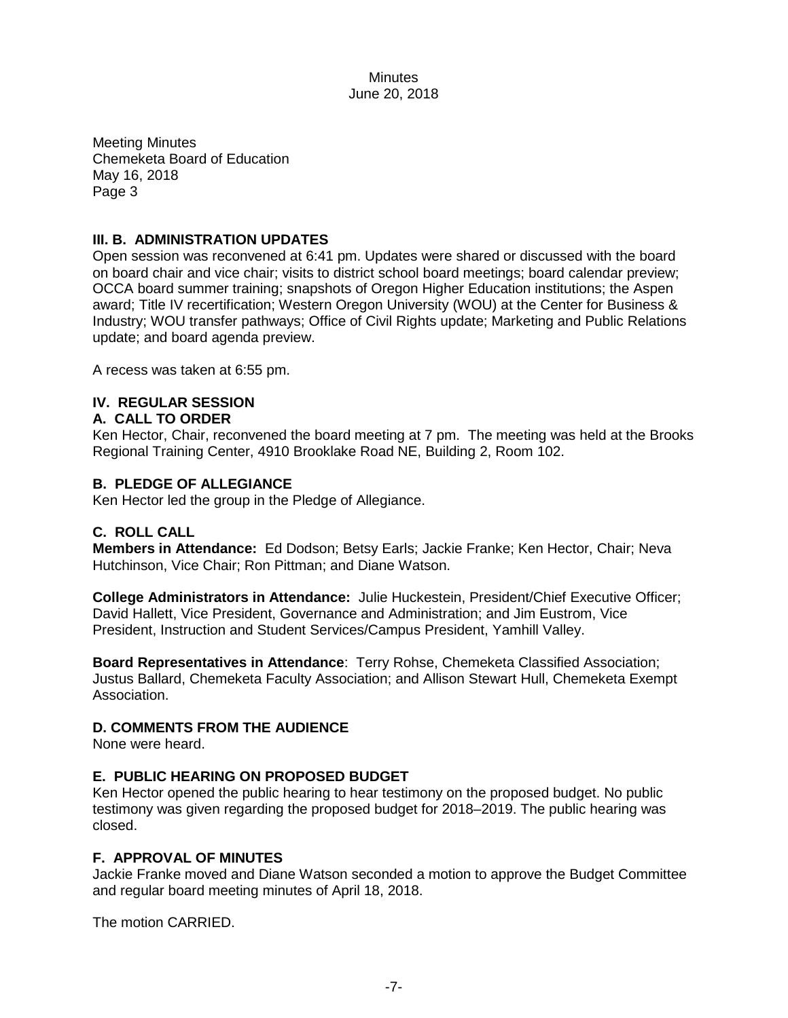Meeting Minutes Chemeketa Board of Education May 16, 2018 Page 3

## **III. B. ADMINISTRATION UPDATES**

Open session was reconvened at 6:41 pm. Updates were shared or discussed with the board on board chair and vice chair; visits to district school board meetings; board calendar preview; OCCA board summer training; snapshots of Oregon Higher Education institutions; the Aspen award; Title IV recertification; Western Oregon University (WOU) at the Center for Business & Industry; WOU transfer pathways; Office of Civil Rights update; Marketing and Public Relations update; and board agenda preview.

A recess was taken at 6:55 pm.

## **IV. REGULAR SESSION**

#### **A. CALL TO ORDER**

Ken Hector, Chair, reconvened the board meeting at 7 pm. The meeting was held at the Brooks Regional Training Center, 4910 Brooklake Road NE, Building 2, Room 102.

#### **B. PLEDGE OF ALLEGIANCE**

Ken Hector led the group in the Pledge of Allegiance.

#### **C. ROLL CALL**

**Members in Attendance:** Ed Dodson; Betsy Earls; Jackie Franke; Ken Hector, Chair; Neva Hutchinson, Vice Chair; Ron Pittman; and Diane Watson.

**College Administrators in Attendance:** Julie Huckestein, President/Chief Executive Officer; David Hallett, Vice President, Governance and Administration; and Jim Eustrom, Vice President, Instruction and Student Services/Campus President, Yamhill Valley.

**Board Representatives in Attendance**: Terry Rohse, Chemeketa Classified Association; Justus Ballard, Chemeketa Faculty Association; and Allison Stewart Hull, Chemeketa Exempt Association.

#### **D. COMMENTS FROM THE AUDIENCE**

None were heard.

#### **E. PUBLIC HEARING ON PROPOSED BUDGET**

Ken Hector opened the public hearing to hear testimony on the proposed budget. No public testimony was given regarding the proposed budget for 2018–2019. The public hearing was closed.

### **F. APPROVAL OF MINUTES**

Jackie Franke moved and Diane Watson seconded a motion to approve the Budget Committee and regular board meeting minutes of April 18, 2018.

The motion CARRIED.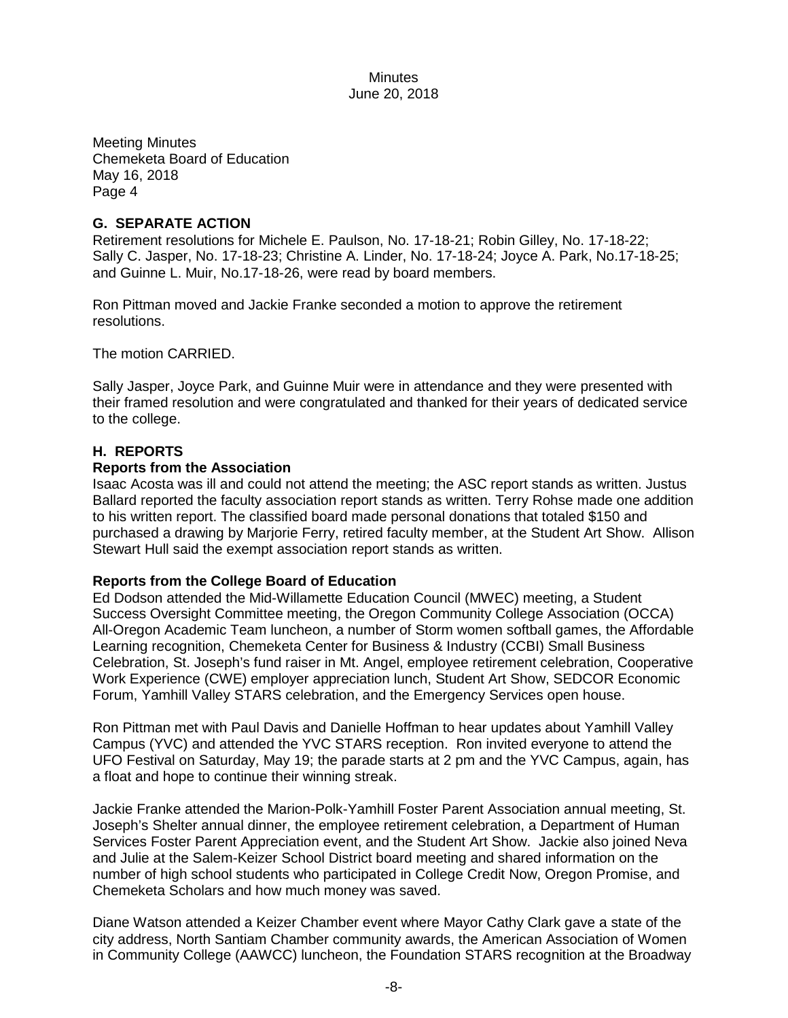Meeting Minutes Chemeketa Board of Education May 16, 2018 Page 4

### **G. SEPARATE ACTION**

Retirement resolutions for Michele E. Paulson, No. 17-18-21; Robin Gilley, No. 17-18-22; Sally C. Jasper, No. 17-18-23; Christine A. Linder, No. 17-18-24; Joyce A. Park, No.17-18-25; and Guinne L. Muir, No.17-18-26, were read by board members.

Ron Pittman moved and Jackie Franke seconded a motion to approve the retirement resolutions.

The motion CARRIED.

Sally Jasper, Joyce Park, and Guinne Muir were in attendance and they were presented with their framed resolution and were congratulated and thanked for their years of dedicated service to the college.

### **H. REPORTS**

#### **Reports from the Association**

Isaac Acosta was ill and could not attend the meeting; the ASC report stands as written. Justus Ballard reported the faculty association report stands as written. Terry Rohse made one addition to his written report. The classified board made personal donations that totaled \$150 and purchased a drawing by Marjorie Ferry, retired faculty member, at the Student Art Show. Allison Stewart Hull said the exempt association report stands as written.

#### **Reports from the College Board of Education**

Ed Dodson attended the Mid-Willamette Education Council (MWEC) meeting, a Student Success Oversight Committee meeting, the Oregon Community College Association (OCCA) All-Oregon Academic Team luncheon, a number of Storm women softball games, the Affordable Learning recognition, Chemeketa Center for Business & Industry (CCBI) Small Business Celebration, St. Joseph's fund raiser in Mt. Angel, employee retirement celebration, Cooperative Work Experience (CWE) employer appreciation lunch, Student Art Show, SEDCOR Economic Forum, Yamhill Valley STARS celebration, and the Emergency Services open house.

Ron Pittman met with Paul Davis and Danielle Hoffman to hear updates about Yamhill Valley Campus (YVC) and attended the YVC STARS reception. Ron invited everyone to attend the UFO Festival on Saturday, May 19; the parade starts at 2 pm and the YVC Campus, again, has a float and hope to continue their winning streak.

Jackie Franke attended the Marion-Polk-Yamhill Foster Parent Association annual meeting, St. Joseph's Shelter annual dinner, the employee retirement celebration, a Department of Human Services Foster Parent Appreciation event, and the Student Art Show. Jackie also joined Neva and Julie at the Salem-Keizer School District board meeting and shared information on the number of high school students who participated in College Credit Now, Oregon Promise, and Chemeketa Scholars and how much money was saved.

Diane Watson attended a Keizer Chamber event where Mayor Cathy Clark gave a state of the city address, North Santiam Chamber community awards, the American Association of Women in Community College (AAWCC) luncheon, the Foundation STARS recognition at the Broadway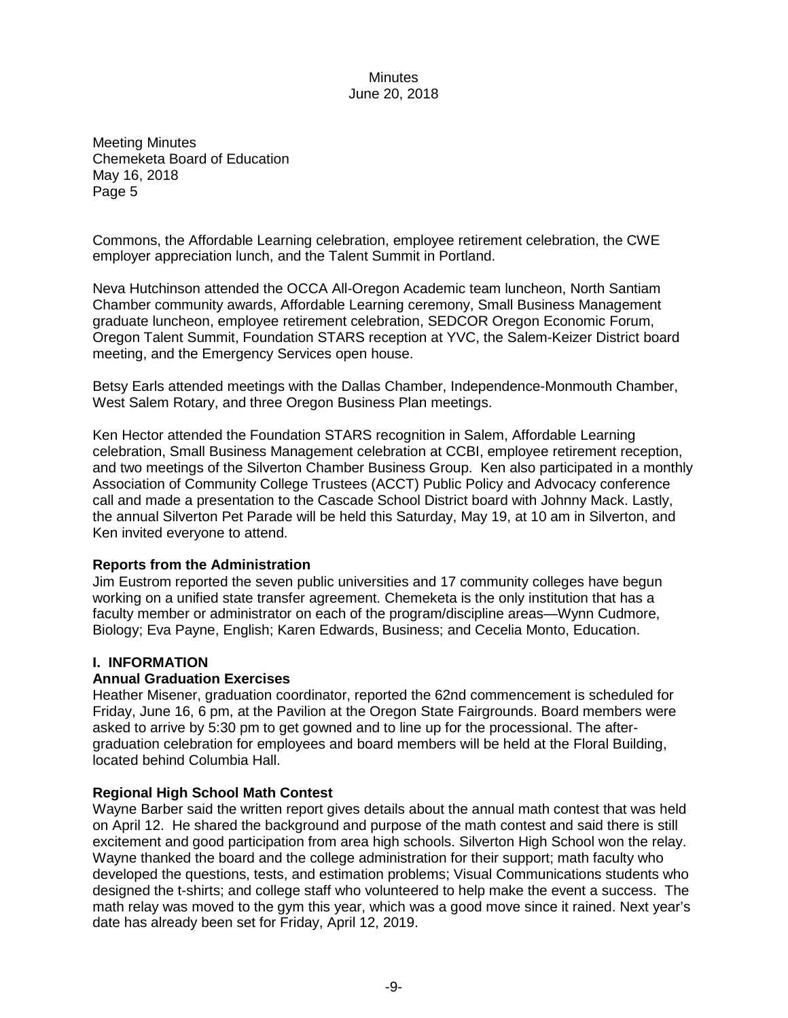Meeting Minutes Chemeketa Board of Education May 16, 2018 Page 5

Commons, the Affordable Learning celebration, employee retirement celebration, the CWE employer appreciation lunch, and the Talent Summit in Portland.

Neva Hutchinson attended the OCCA All-Oregon Academic team luncheon, North Santiam Chamber community awards, Affordable Learning ceremony, Small Business Management graduate luncheon, employee retirement celebration, SEDCOR Oregon Economic Forum, Oregon Talent Summit, Foundation STARS reception at YVC, the Salem-Keizer District board meeting, and the Emergency Services open house.

Betsy Earls attended meetings with the Dallas Chamber, Independence-Monmouth Chamber, West Salem Rotary, and three Oregon Business Plan meetings.

Ken Hector attended the Foundation STARS recognition in Salem, Affordable Learning celebration, Small Business Management celebration at CCBI, employee retirement reception, and two meetings of the Silverton Chamber Business Group. Ken also participated in a monthly Association of Community College Trustees (ACCT) Public Policy and Advocacy conference call and made a presentation to the Cascade School District board with Johnny Mack. Lastly, the annual Silverton Pet Parade will be held this Saturday, May 19, at 10 am in Silverton, and Ken invited everyone to attend.

#### **Reports from the Administration**

Jim Eustrom reported the seven public universities and 17 community colleges have begun working on a unified state transfer agreement. Chemeketa is the only institution that has a faculty member or administrator on each of the program/discipline areas—Wynn Cudmore, Biology; Eva Payne, English; Karen Edwards, Business; and Cecelia Monto, Education.

#### **I. INFORMATION**

#### **Annual Graduation Exercises**

Heather Misener, graduation coordinator, reported the 62nd commencement is scheduled for Friday, June 16, 6 pm, at the Pavilion at the Oregon State Fairgrounds. Board members were asked to arrive by 5:30 pm to get gowned and to line up for the processional. The aftergraduation celebration for employees and board members will be held at the Floral Building, located behind Columbia Hall.

#### **Regional High School Math Contest**

Wayne Barber said the written report gives details about the annual math contest that was held on April 12. He shared the background and purpose of the math contest and said there is still excitement and good participation from area high schools. Silverton High School won the relay. Wayne thanked the board and the college administration for their support; math faculty who developed the questions, tests, and estimation problems; Visual Communications students who designed the t-shirts; and college staff who volunteered to help make the event a success. The math relay was moved to the gym this year, which was a good move since it rained. Next year's date has already been set for Friday, April 12, 2019.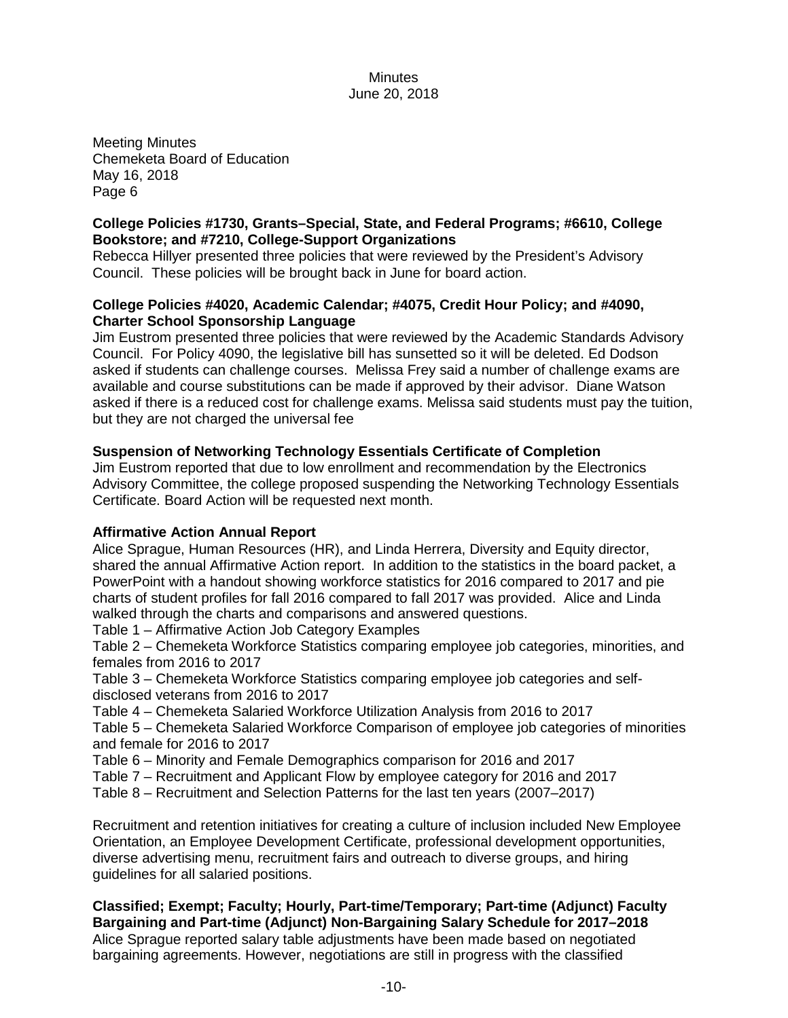Meeting Minutes Chemeketa Board of Education May 16, 2018 Page 6

## **College Policies #1730, Grants–Special, State, and Federal Programs; #6610, College Bookstore; and #7210, College-Support Organizations**

Rebecca Hillyer presented three policies that were reviewed by the President's Advisory Council. These policies will be brought back in June for board action.

### **College Policies #4020, Academic Calendar; #4075, Credit Hour Policy; and #4090, Charter School Sponsorship Language**

Jim Eustrom presented three policies that were reviewed by the Academic Standards Advisory Council. For Policy 4090, the legislative bill has sunsetted so it will be deleted. Ed Dodson asked if students can challenge courses. Melissa Frey said a number of challenge exams are available and course substitutions can be made if approved by their advisor. Diane Watson asked if there is a reduced cost for challenge exams. Melissa said students must pay the tuition, but they are not charged the universal fee

## **Suspension of Networking Technology Essentials Certificate of Completion**

Jim Eustrom reported that due to low enrollment and recommendation by the Electronics Advisory Committee, the college proposed suspending the Networking Technology Essentials Certificate. Board Action will be requested next month.

## **Affirmative Action Annual Report**

Alice Sprague, Human Resources (HR), and Linda Herrera, Diversity and Equity director, shared the annual Affirmative Action report. In addition to the statistics in the board packet, a PowerPoint with a handout showing workforce statistics for 2016 compared to 2017 and pie charts of student profiles for fall 2016 compared to fall 2017 was provided. Alice and Linda walked through the charts and comparisons and answered questions.

Table 1 – Affirmative Action Job Category Examples

Table 2 – Chemeketa Workforce Statistics comparing employee job categories, minorities, and females from 2016 to 2017

Table 3 – Chemeketa Workforce Statistics comparing employee job categories and selfdisclosed veterans from 2016 to 2017

Table 4 – Chemeketa Salaried Workforce Utilization Analysis from 2016 to 2017

Table 5 – Chemeketa Salaried Workforce Comparison of employee job categories of minorities and female for 2016 to 2017

Table 6 – Minority and Female Demographics comparison for 2016 and 2017

Table 7 – Recruitment and Applicant Flow by employee category for 2016 and 2017

Table 8 – Recruitment and Selection Patterns for the last ten years (2007–2017)

Recruitment and retention initiatives for creating a culture of inclusion included New Employee Orientation, an Employee Development Certificate, professional development opportunities, diverse advertising menu, recruitment fairs and outreach to diverse groups, and hiring guidelines for all salaried positions.

**Classified; Exempt; Faculty; Hourly, Part-time/Temporary; Part-time (Adjunct) Faculty Bargaining and Part-time (Adjunct) Non-Bargaining Salary Schedule for 2017–2018** Alice Sprague reported salary table adjustments have been made based on negotiated bargaining agreements. However, negotiations are still in progress with the classified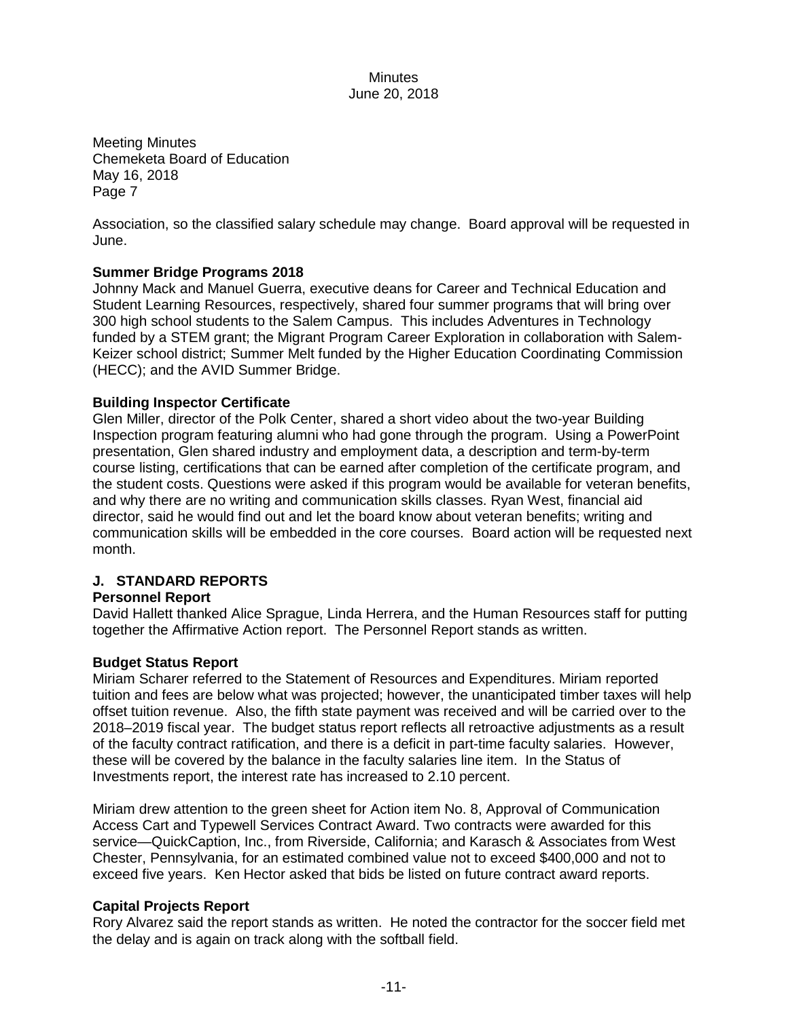Meeting Minutes Chemeketa Board of Education May 16, 2018 Page 7

Association, so the classified salary schedule may change. Board approval will be requested in June.

## **Summer Bridge Programs 2018**

Johnny Mack and Manuel Guerra, executive deans for Career and Technical Education and Student Learning Resources, respectively, shared four summer programs that will bring over 300 high school students to the Salem Campus. This includes Adventures in Technology funded by a STEM grant; the Migrant Program Career Exploration in collaboration with Salem-Keizer school district; Summer Melt funded by the Higher Education Coordinating Commission (HECC); and the AVID Summer Bridge.

#### **Building Inspector Certificate**

Glen Miller, director of the Polk Center, shared a short video about the two-year Building Inspection program featuring alumni who had gone through the program. Using a PowerPoint presentation, Glen shared industry and employment data, a description and term-by-term course listing, certifications that can be earned after completion of the certificate program, and the student costs. Questions were asked if this program would be available for veteran benefits, and why there are no writing and communication skills classes. Ryan West, financial aid director, said he would find out and let the board know about veteran benefits; writing and communication skills will be embedded in the core courses. Board action will be requested next month.

## **J. STANDARD REPORTS**

#### **Personnel Report**

David Hallett thanked Alice Sprague, Linda Herrera, and the Human Resources staff for putting together the Affirmative Action report. The Personnel Report stands as written.

#### **Budget Status Report**

Miriam Scharer referred to the Statement of Resources and Expenditures. Miriam reported tuition and fees are below what was projected; however, the unanticipated timber taxes will help offset tuition revenue. Also, the fifth state payment was received and will be carried over to the 2018–2019 fiscal year. The budget status report reflects all retroactive adjustments as a result of the faculty contract ratification, and there is a deficit in part-time faculty salaries. However, these will be covered by the balance in the faculty salaries line item. In the Status of Investments report, the interest rate has increased to 2.10 percent.

Miriam drew attention to the green sheet for Action item No. 8, Approval of Communication Access Cart and Typewell Services Contract Award. Two contracts were awarded for this service—QuickCaption, Inc., from Riverside, California; and Karasch & Associates from West Chester, Pennsylvania, for an estimated combined value not to exceed \$400,000 and not to exceed five years. Ken Hector asked that bids be listed on future contract award reports.

#### **Capital Projects Report**

Rory Alvarez said the report stands as written. He noted the contractor for the soccer field met the delay and is again on track along with the softball field.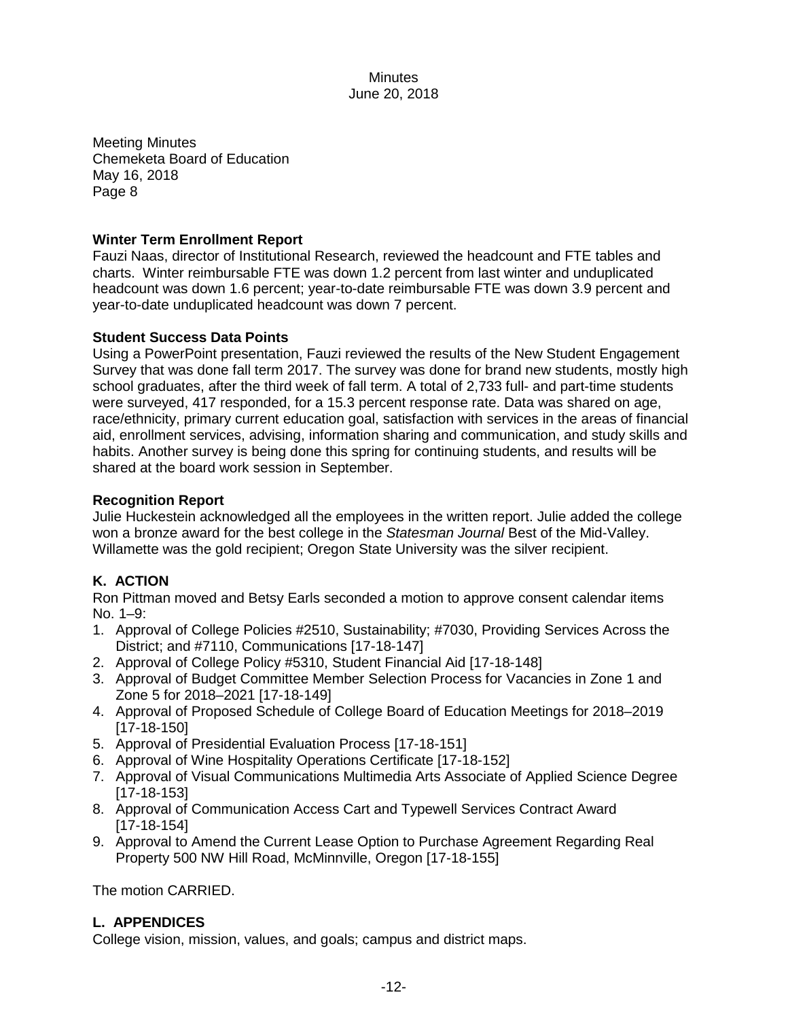Meeting Minutes Chemeketa Board of Education May 16, 2018 Page 8

## **Winter Term Enrollment Report**

Fauzi Naas, director of Institutional Research, reviewed the headcount and FTE tables and charts. Winter reimbursable FTE was down 1.2 percent from last winter and unduplicated headcount was down 1.6 percent; year-to-date reimbursable FTE was down 3.9 percent and year-to-date unduplicated headcount was down 7 percent.

### **Student Success Data Points**

Using a PowerPoint presentation, Fauzi reviewed the results of the New Student Engagement Survey that was done fall term 2017. The survey was done for brand new students, mostly high school graduates, after the third week of fall term. A total of 2,733 full- and part-time students were surveyed, 417 responded, for a 15.3 percent response rate. Data was shared on age, race/ethnicity, primary current education goal, satisfaction with services in the areas of financial aid, enrollment services, advising, information sharing and communication, and study skills and habits. Another survey is being done this spring for continuing students, and results will be shared at the board work session in September.

### **Recognition Report**

Julie Huckestein acknowledged all the employees in the written report. Julie added the college won a bronze award for the best college in the *Statesman Journal* Best of the Mid-Valley. Willamette was the gold recipient; Oregon State University was the silver recipient.

## **K. ACTION**

Ron Pittman moved and Betsy Earls seconded a motion to approve consent calendar items No. 1–9:

- 1. Approval of College Policies #2510, Sustainability; #7030, Providing Services Across the District; and #7110, Communications [17-18-147]
- 2. Approval of College Policy #5310, Student Financial Aid [17-18-148]
- 3. Approval of Budget Committee Member Selection Process for Vacancies in Zone 1 and Zone 5 for 2018–2021 [17-18-149]
- 4. Approval of Proposed Schedule of College Board of Education Meetings for 2018–2019 [17-18-150]
- 5. Approval of Presidential Evaluation Process [17-18-151]
- 6. Approval of Wine Hospitality Operations Certificate [17-18-152]
- 7. Approval of Visual Communications Multimedia Arts Associate of Applied Science Degree [17-18-153]
- 8. Approval of Communication Access Cart and Typewell Services Contract Award [17-18-154]
- 9. Approval to Amend the Current Lease Option to Purchase Agreement Regarding Real Property 500 NW Hill Road, McMinnville, Oregon [17-18-155]

The motion CARRIED.

## **L. APPENDICES**

College vision, mission, values, and goals; campus and district maps.